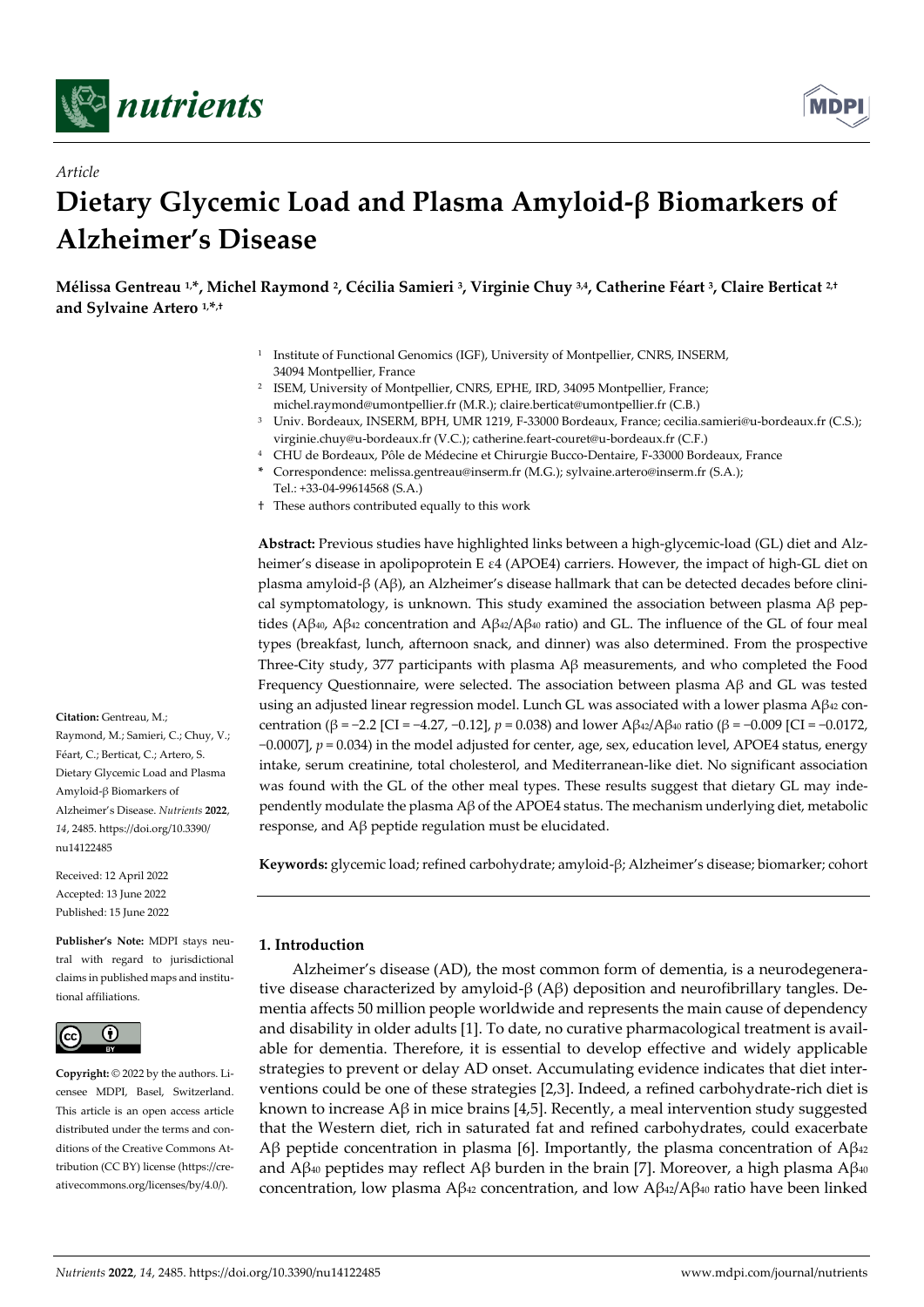

*Article*



# **Dietary Glycemic Load and Plasma Amyloid-β Biomarkers of Alzheimer's Disease**

**Mélissa Gentreau 1,\*, Michel Raymond <sup>2</sup> , Cécilia Samieri <sup>3</sup> , Virginie Chuy 3,4, Catherine Féart <sup>3</sup> , Claire Berticat 2,† and Sylvaine Artero 1,\* ,†**

- <sup>1</sup> Institute of Functional Genomics (IGF), University of Montpellier, CNRS, INSERM, 34094 Montpellier, France
- <sup>2</sup> ISEM, University of Montpellier, CNRS, EPHE, IRD, 34095 Montpellier, France; michel.raymond@umontpellier.fr (M.R.); claire.berticat@umontpellier.fr (C.B.)
- <sup>3</sup> Univ. Bordeaux, INSERM, BPH, UMR 1219, F-33000 Bordeaux, France; cecilia.samieri@u-bordeaux.fr (C.S.); virginie.chuy@u-bordeaux.fr (V.C.); catherine.feart-couret@u-bordeaux.fr (C.F.)
- <sup>4</sup> CHU de Bordeaux, Pôle de Médecine et Chirurgie Bucco-Dentaire, F-33000 Bordeaux, France
- **\*** Correspondence: melissa.gentreau@inserm.fr (M.G.); sylvaine.artero@inserm.fr (S.A.); Tel.: +33-04-99614568 (S.A.)
- † These authors contributed equally to this work

**Abstract:** Previous studies have highlighted links between a high-glycemic-load (GL) diet and Alzheimer's disease in apolipoprotein E ε4 (APOE4) carriers. However, the impact of high-GL diet on plasma amyloid-β (Aβ), an Alzheimer's disease hallmark that can be detected decades before clinical symptomatology, is unknown. This study examined the association between plasma  $A\beta$  peptides (Aβ<sub>40</sub>, Aβ<sub>42</sub> concentration and Aβ42/Aβ40 ratio) and GL. The influence of the GL of four meal types (breakfast, lunch, afternoon snack, and dinner) was also determined. From the prospective Three-City study, 377 participants with plasma Aβ measurements, and who completed the Food Frequency Questionnaire, were selected. The association between plasma Aβ and GL was tested using an adjusted linear regression model. Lunch GL was associated with a lower plasma  $A\beta_{42}$  concentration (β = −2.2 [CI = −4.27, −0.12], *p* = 0.038) and lower Aβ42/Aβ<sup>40</sup> ratio (β = −0.009 [CI = −0.0172, −0.0007], *p* = 0.034) in the model adjusted for center, age, sex, education level, APOE4 status, energy intake, serum creatinine, total cholesterol, and Mediterranean-like diet. No significant association was found with the GL of the other meal types. These results suggest that dietary GL may independently modulate the plasma Aβ of the APOE4 status. The mechanism underlying diet, metabolic response, and Aβ peptide regulation must be elucidated.

**Keywords:** glycemic load; refined carbohydrate; amyloid-β; Alzheimer's disease; biomarker; cohort

# **1. Introduction**

Alzheimer's disease (AD), the most common form of dementia, is a neurodegenerative disease characterized by amyloid-β (Aβ) deposition and neurofibrillary tangles. Dementia affects 50 million people worldwide and represents the main cause of dependency and disability in older adults [1]. To date, no curative pharmacological treatment is available for dementia. Therefore, it is essential to develop effective and widely applicable strategies to prevent or delay AD onset. Accumulating evidence indicates that diet interventions could be one of these strategies [2,3]. Indeed, a refined carbohydrate-rich diet is known to increase  $A\beta$  in mice brains [4,5]. Recently, a meal intervention study suggested that the Western diet, rich in saturated fat and refined carbohydrates, could exacerbate Aβ peptide concentration in plasma [6]. Importantly, the plasma concentration of  $\mathbf{A}\beta_{42}$ and Aβ<sub>40</sub> peptides may reflect Aβ burden in the brain [7]. Moreover, a high plasma Aβ<sub>40</sub> concentration, low plasma Aβ<sup>42</sup> concentration, and low Aβ42/Aβ<sup>40</sup> ratio have been linked

Raymond, M.; Samieri, C.; Chuy, V.; Féart, C.; Berticat, C.; Artero, S. Dietary Glycemic Load and Plasma Amyloid-β Biomarkers of Alzheimer's Disease. *Nutrients* **2022**, *14*, 2485. https://doi.org/10.3390/

**Citation:** Gentreau, M.;

Received: 12 April 2022 Accepted: 13 June 2022 Published: 15 June 2022

nu14122485

**Publisher's Note:** MDPI stays neutral with regard to jurisdictional claims in published maps and institutional affiliations.



**Copyright:** © 2022 by the authors. Licensee MDPI, Basel, Switzerland. This article is an open access article distributed under the terms and conditions of the Creative Commons Attribution (CC BY) license (https://creativecommons.org/licenses/by/4.0/).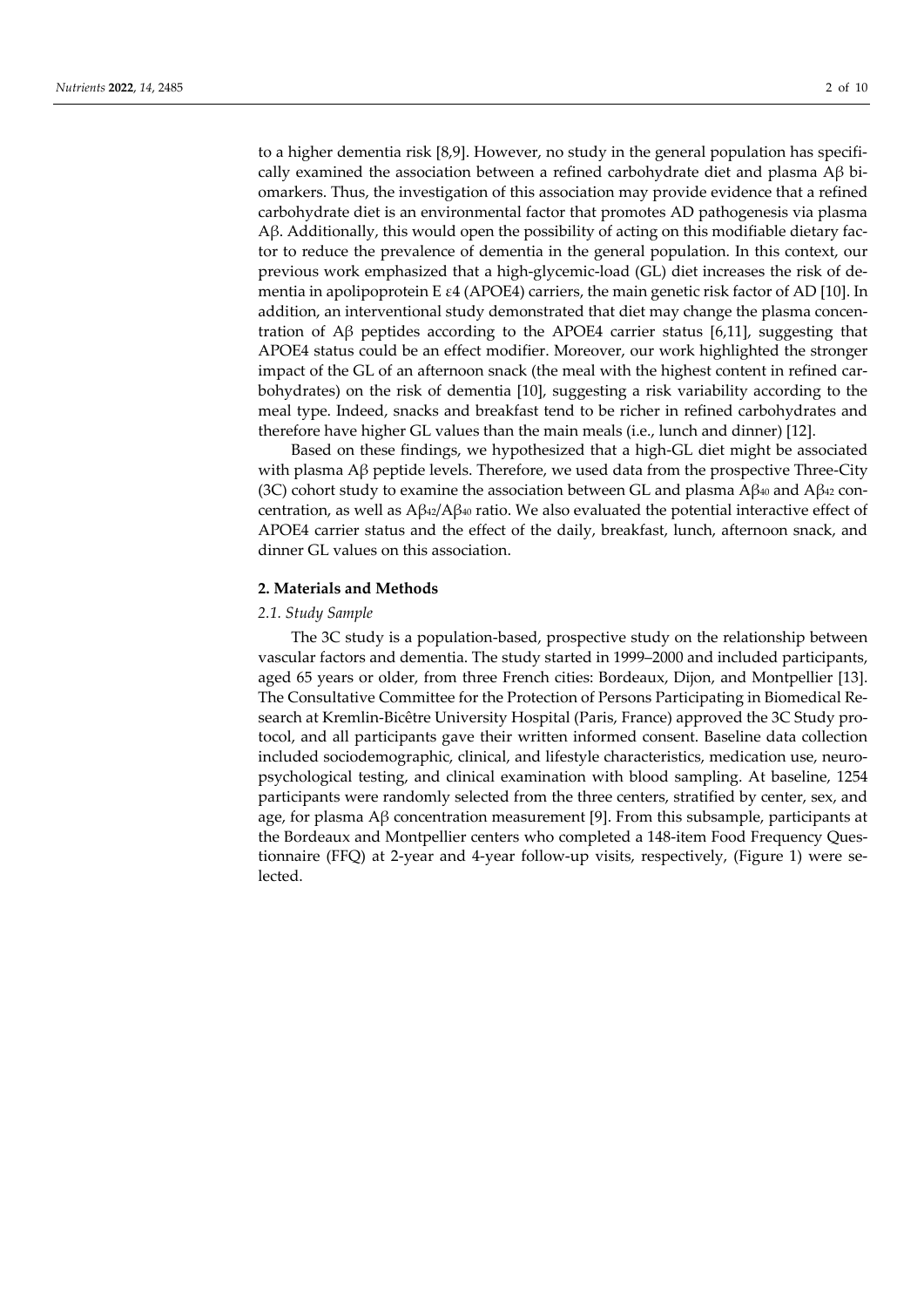to a higher dementia risk [8,9]. However, no study in the general population has specifically examined the association between a refined carbohydrate diet and plasma  $\rm{A}\beta$  biomarkers. Thus, the investigation of this association may provide evidence that a refined carbohydrate diet is an environmental factor that promotes AD pathogenesis via plasma Aβ. Additionally, this would open the possibility of acting on this modifiable dietary factor to reduce the prevalence of dementia in the general population. In this context, our previous work emphasized that a high-glycemic-load (GL) diet increases the risk of dementia in apolipoprotein E ε4 (APOE4) carriers, the main genetic risk factor of AD [10]. In addition, an interventional study demonstrated that diet may change the plasma concentration of  $\text{A}\beta$  peptides according to the APOE4 carrier status [6,11], suggesting that APOE4 status could be an effect modifier. Moreover, our work highlighted the stronger impact of the GL of an afternoon snack (the meal with the highest content in refined carbohydrates) on the risk of dementia [10], suggesting a risk variability according to the meal type. Indeed, snacks and breakfast tend to be richer in refined carbohydrates and therefore have higher GL values than the main meals (i.e., lunch and dinner) [12].

Based on these findings, we hypothesized that a high-GL diet might be associated with plasma Aβ peptide levels. Therefore, we used data from the prospective Three-City (3C) cohort study to examine the association between GL and plasma  $A\beta_{40}$  and  $A\beta_{42}$  concentration, as well as  $A\beta_{42}/A\beta_{40}$  ratio. We also evaluated the potential interactive effect of APOE4 carrier status and the effect of the daily, breakfast, lunch, afternoon snack, and dinner GL values on this association.

# **2. Materials and Methods**

### *2.1. Study Sample*

The 3C study is a population-based, prospective study on the relationship between vascular factors and dementia. The study started in 1999–2000 and included participants, aged 65 years or older, from three French cities: Bordeaux, Dijon, and Montpellier [13]. The Consultative Committee for the Protection of Persons Participating in Biomedical Research at Kremlin-Bicêtre University Hospital (Paris, France) approved the 3C Study protocol, and all participants gave their written informed consent. Baseline data collection included sociodemographic, clinical, and lifestyle characteristics, medication use, neuropsychological testing, and clinical examination with blood sampling. At baseline, 1254 participants were randomly selected from the three centers, stratified by center, sex, and age, for plasma Aβ concentration measurement [9]. From this subsample, participants at the Bordeaux and Montpellier centers who completed a 148-item Food Frequency Questionnaire (FFQ) at 2-year and 4-year follow-up visits, respectively, (Figure 1) were selected.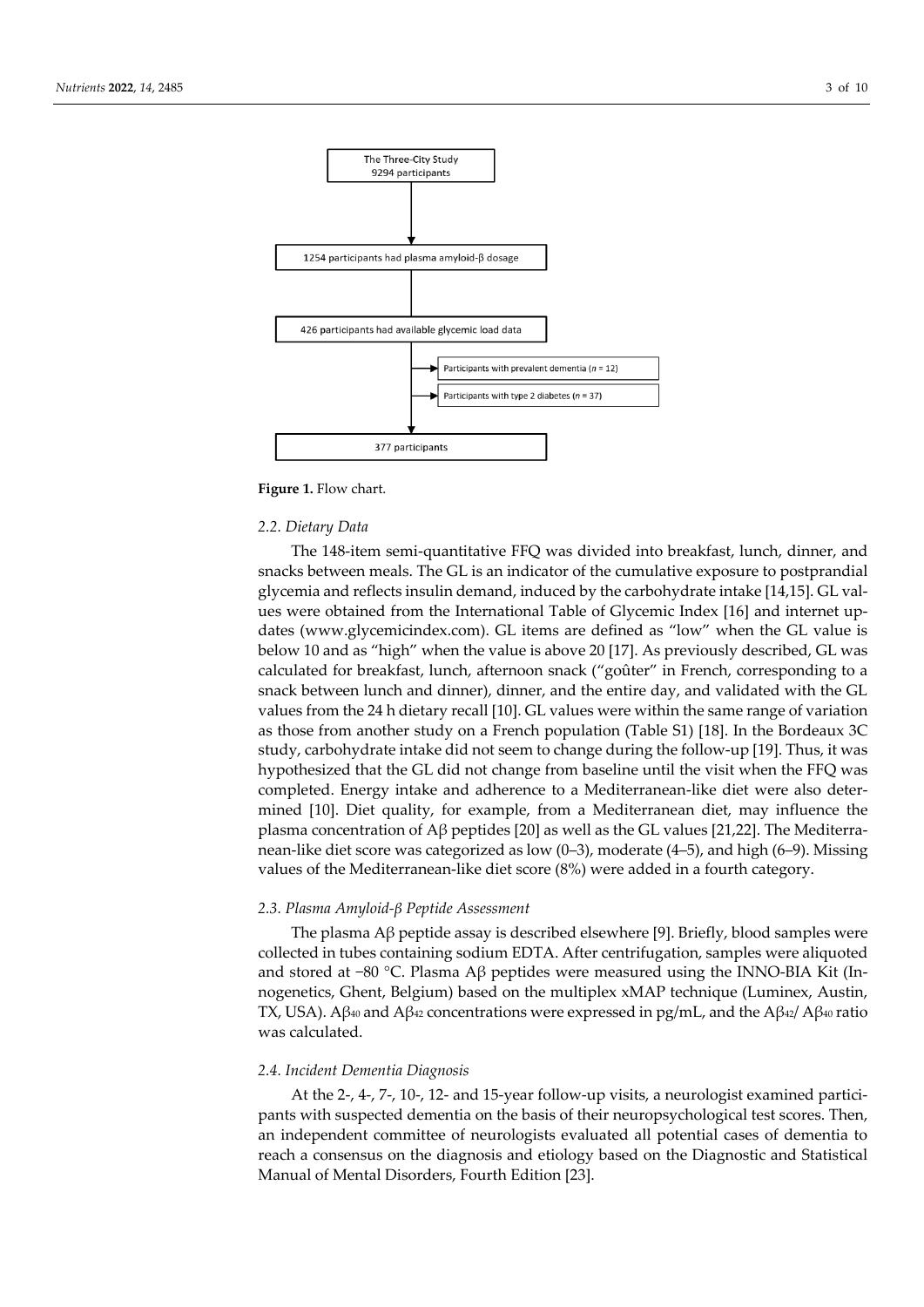

Figure 1. Flow chart.

# *2.2. Dietary Data*

The 148-item semi-quantitative FFQ was divided into breakfast, lunch, dinner, and snacks between meals. The GL is an indicator of the cumulative exposure to postprandial glycemia and reflects insulin demand, induced by the carbohydrate intake [14,15]. GL values were obtained from the International Table of Glycemic Index [16] and internet updates (www.glycemicindex.com). GL items are defined as "low" when the GL value is below 10 and as "high" when the value is above 20 [17]. As previously described, GL was calculated for breakfast, lunch, afternoon snack ("goûter" in French, corresponding to a snack between lunch and dinner), dinner, and the entire day, and validated with the GL values from the 24 h dietary recall [10]. GL values were within the same range of variation as those from another study on a French population (Table S1) [18]. In the Bordeaux 3C study, carbohydrate intake did not seem to change during the follow-up [19]. Thus, it was hypothesized that the GL did not change from baseline until the visit when the FFQ was completed. Energy intake and adherence to a Mediterranean-like diet were also determined [10]. Diet quality, for example, from a Mediterranean diet, may influence the plasma concentration of Aβ peptides [20] as well as the GL values [21,22]. The Mediterranean-like diet score was categorized as low (0–3), moderate (4–5), and high (6–9). Missing values of the Mediterranean-like diet score (8%) were added in a fourth category.

# *2.3. Plasma Amyloid-β Peptide Assessment*

The plasma  $\text{A}\beta$  peptide assay is described elsewhere [9]. Briefly, blood samples were collected in tubes containing sodium EDTA. After centrifugation, samples were aliquoted and stored at −80 °C. Plasma Aβ peptides were measured using the INNO-BIA Kit (Innogenetics, Ghent, Belgium) based on the multiplex xMAP technique (Luminex, Austin, TX, USA). Aβ<sub>40</sub> and Aβ<sub>42</sub> concentrations were expressed in pg/mL, and the Aβ<sub>42</sub>/ Aβ<sub>40</sub> ratio was calculated.

### *2.4. Incident Dementia Diagnosis*

At the 2-, 4-, 7-, 10-, 12- and 15-year follow-up visits, a neurologist examined participants with suspected dementia on the basis of their neuropsychological test scores. Then, an independent committee of neurologists evaluated all potential cases of dementia to reach a consensus on the diagnosis and etiology based on the Diagnostic and Statistical Manual of Mental Disorders, Fourth Edition [23].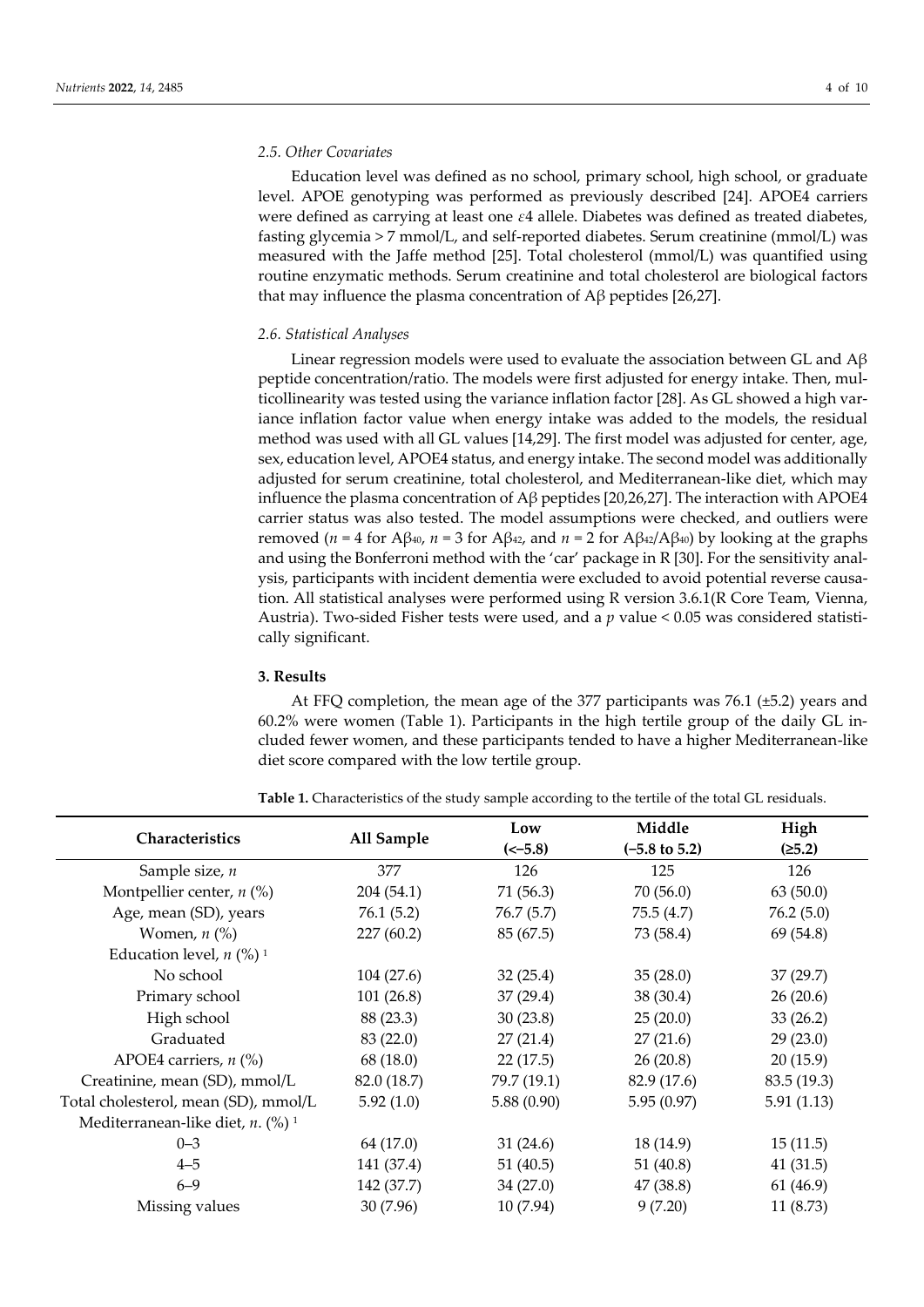# *2.5. Other Covariates*

Education level was defined as no school, primary school, high school, or graduate level. APOE genotyping was performed as previously described [24]. APOE4 carriers were defined as carrying at least one *ε*4 allele. Diabetes was defined as treated diabetes, fasting glycemia > 7 mmol/L, and self-reported diabetes. Serum creatinine (mmol/L) was measured with the Jaffe method [25]. Total cholesterol (mmol/L) was quantified using routine enzymatic methods. Serum creatinine and total cholesterol are biological factors that may influence the plasma concentration of Aβ peptides [26,27].

# *2.6. Statistical Analyses*

Linear regression models were used to evaluate the association between GL and  $A\beta$ peptide concentration/ratio. The models were first adjusted for energy intake. Then, multicollinearity was tested using the variance inflation factor [28]. As GL showed a high variance inflation factor value when energy intake was added to the models, the residual method was used with all GL values [14,29]. The first model was adjusted for center, age, sex, education level, APOE4 status, and energy intake. The second model was additionally adjusted for serum creatinine, total cholesterol, and Mediterranean-like diet, which may influence the plasma concentration of Aβ peptides [20,26,27]. The interaction with APOE4 carrier status was also tested. The model assumptions were checked, and outliers were removed (*n* = 4 for Aβ<sub>40</sub>, *n* = 3 for Aβ<sub>42</sub>, and *n* = 2 for Aβ<sub>42</sub>/Aβ<sub>40</sub>) by looking at the graphs and using the Bonferroni method with the 'car' package in R [30]. For the sensitivity analysis, participants with incident dementia were excluded to avoid potential reverse causation. All statistical analyses were performed using R version 3.6.1(R Core Team, Vienna, Austria). Two-sided Fisher tests were used, and a *p* value < 0.05 was considered statistically significant.

# **3. Results**

At FFQ completion, the mean age of the 377 participants was 76.1 (±5.2) years and 60.2% were women (Table 1). Participants in the high tertile group of the daily GL included fewer women, and these participants tended to have a higher Mediterranean-like diet score compared with the low tertile group.

| Characteristics                                    |             | Low         | Middle                   | High        |
|----------------------------------------------------|-------------|-------------|--------------------------|-------------|
|                                                    | All Sample  | $(-5.8)$    | $(-5.8 \text{ to } 5.2)$ | (25.2)      |
| Sample size, $n$                                   | 377         | 126         | 125                      | 126         |
| Montpellier center, $n$ (%)                        | 204 (54.1)  | 71 (56.3)   | 70(56.0)                 | 63(50.0)    |
| Age, mean (SD), years                              | 76.1(5.2)   | 76.7(5.7)   | 75.5(4.7)                | 76.2(5.0)   |
| Women, $n$ $\left(\% \right)$                      | 227(60.2)   | 85(67.5)    | 73 (58.4)                | 69 (54.8)   |
| Education level, $n$ (%) <sup>1</sup>              |             |             |                          |             |
| No school                                          | 104(27.6)   | 32(25.4)    | 35(28.0)                 | 37(29.7)    |
| Primary school                                     | 101(26.8)   | 37(29.4)    | 38(30.4)                 | 26(20.6)    |
| High school                                        | 88 (23.3)   | 30(23.8)    | 25(20.0)                 | 33(26.2)    |
| Graduated                                          | 83 (22.0)   | 27(21.4)    | 27(21.6)                 | 29(23.0)    |
| APOE4 carriers, $n$ (%)                            | 68 (18.0)   | 22(17.5)    | 26(20.8)                 | 20(15.9)    |
| Creatinine, mean (SD), mmol/L                      | 82.0 (18.7) | 79.7 (19.1) | 82.9 (17.6)              | 83.5 (19.3) |
| Total cholesterol, mean (SD), mmol/L               | 5.92(1.0)   | 5.88(0.90)  | 5.95(0.97)               | 5.91(1.13)  |
| Mediterranean-like diet, $n$ . $(\%)$ <sup>1</sup> |             |             |                          |             |
| $0 - 3$                                            | 64 (17.0)   | 31(24.6)    | 18 (14.9)                | 15(11.5)    |
| $4 - 5$                                            | 141 (37.4)  | 51 (40.5)   | 51 (40.8)                | 41(31.5)    |
| $6 - 9$                                            | 142 (37.7)  | 34(27.0)    | 47 (38.8)                | 61 (46.9)   |
| Missing values                                     | 30 (7.96)   | 10(7.94)    | 9(7.20)                  | 11 (8.73)   |

**Table 1.** Characteristics of the study sample according to the tertile of the total GL residuals.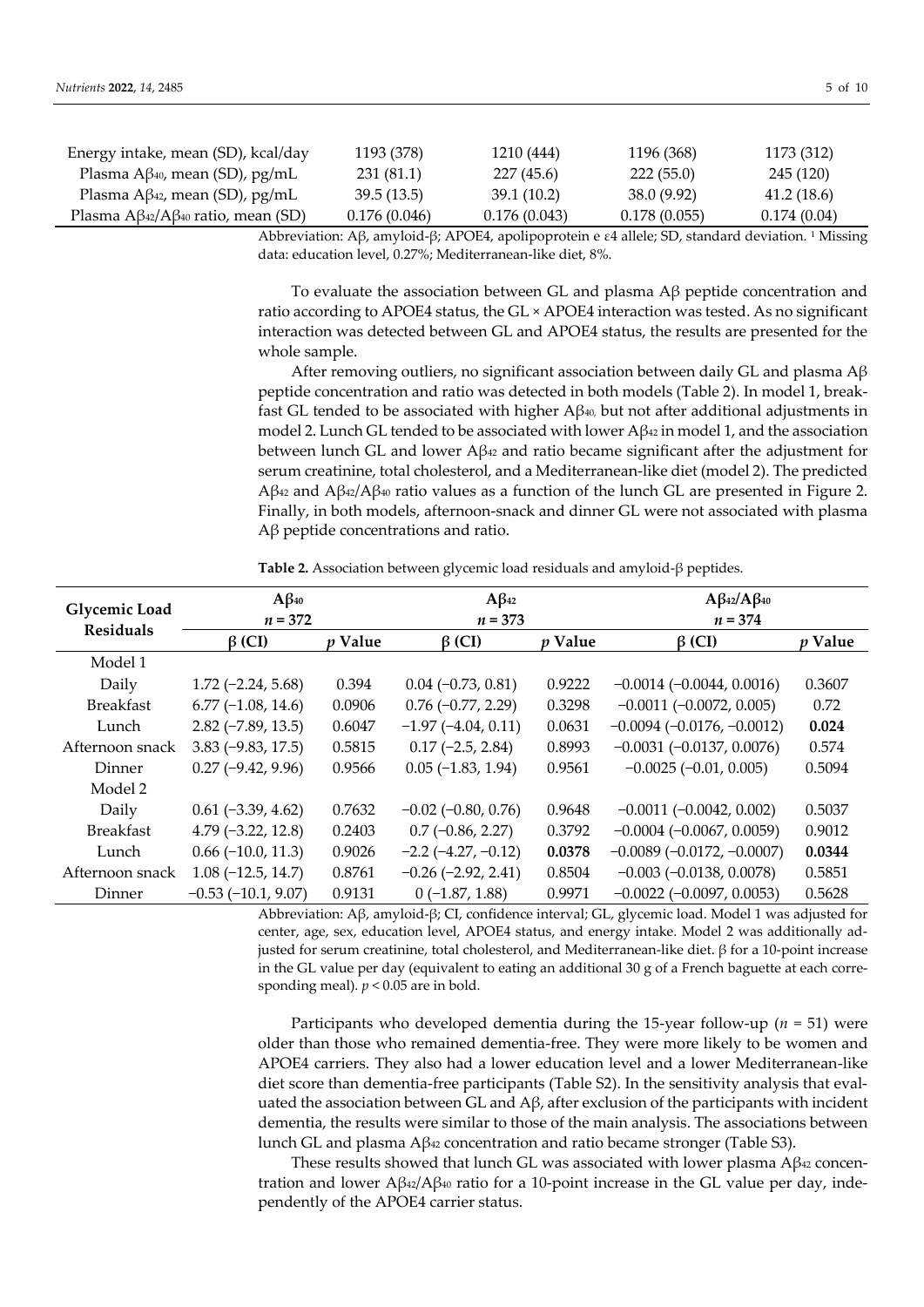| Energy intake, mean (SD), kcal/day                | 1193 (378)   | 1210 (444)   | 1196 (368)   | 1173 (312)  |
|---------------------------------------------------|--------------|--------------|--------------|-------------|
| Plasma $A\beta_{40}$ , mean (SD), pg/mL           | 231 (81.1)   | 227 (45.6)   | 222(55.0)    | 245 (120)   |
| Plasma A $\beta$ <sup>42</sup> , mean (SD), pg/mL | 39.5(13.5)   | 39.1 (10.2)  | 38.0 (9.92)  | 41.2(18.6)  |
| Plasma $A\beta_{42}/A\beta_{40}$ ratio, mean (SD) | 0.176(0.046) | 0.176(0.043) | 0.178(0.055) | 0.174(0.04) |

Abbreviation: Aβ, amyloid-β; APOE4, apolipoprotein e ε4 allele; SD, standard deviation. <sup>1</sup> Missing data: education level, 0.27%; Mediterranean-like diet, 8%.

To evaluate the association between GL and plasma Aβ peptide concentration and ratio according to APOE4 status, the GL × APOE4 interaction was tested. As no significant interaction was detected between GL and APOE4 status, the results are presented for the whole sample.

After removing outliers, no significant association between daily GL and plasma  $A\beta$ peptide concentration and ratio was detected in both models (Table 2). In model 1, breakfast GL tended to be associated with higher  $A\beta_{40}$ , but not after additional adjustments in model 2. Lunch GL tended to be associated with lower  $A\beta_{42}$  in model 1, and the association between lunch GL and lower  $A\beta_{42}$  and ratio became significant after the adjustment for serum creatinine, total cholesterol, and a Mediterranean-like diet (model 2). The predicted Aβ<sub>42</sub> and Aβ<sub>42</sub>/Aβ<sub>40</sub> ratio values as a function of the lunch GL are presented in Figure 2. Finally, in both models, afternoon-snack and dinner GL were not associated with plasma Aβ peptide concentrations and ratio.

**Table 2.** Association between glycemic load residuals and amyloid-β peptides.

| <b>Glycemic Load</b><br><b>Residuals</b> | $A\beta_{40}$        |                | $A\beta_{42}$                |                | $A\beta_{42}/A\beta_{40}$       |                |
|------------------------------------------|----------------------|----------------|------------------------------|----------------|---------------------------------|----------------|
|                                          | $n = 372$            |                | $n = 373$                    |                | $n = 374$                       |                |
|                                          | $\beta$ (CI)         | <i>p</i> Value | $\beta$ (CI)                 | <i>p</i> Value | $\beta$ (CI)                    | <i>p</i> Value |
| Model 1                                  |                      |                |                              |                |                                 |                |
| Daily                                    | $1.72(-2.24, 5.68)$  | 0.394          | $0.04 (-0.73, 0.81)$         | 0.9222         | $-0.0014 (-0.0044, 0.0016)$     | 0.3607         |
| <b>Breakfast</b>                         | $6.77(-1.08, 14.6)$  | 0.0906         | $0.76$ (-0.77, 2.29)         | 0.3298         | $-0.0011$ $(-0.0072, 0.005)$    | 0.72           |
| Lunch                                    | $2.82(-7.89, 13.5)$  | 0.6047         | $-1.97$ ( $-4.04$ , 0.11)    | 0.0631         | $-0.0094 (-0.0176, -0.0012)$    | 0.024          |
| Afternoon snack                          | $3.83(-9.83, 17.5)$  | 0.5815         | $0.17$ (-2.5, 2.84)          | 0.8993         | $-0.0031(-0.0137, 0.0076)$      | 0.574          |
| <b>Dinner</b>                            | $0.27$ (-9.42, 9.96) | 0.9566         | $0.05$ ( $-1.83$ , 1.94)     | 0.9561         | $-0.0025(-0.01, 0.005)$         | 0.5094         |
| Model 2                                  |                      |                |                              |                |                                 |                |
| Daily                                    | $0.61$ (-3.39, 4.62) | 0.7632         | $-0.02$ ( $-0.80$ , 0.76)    | 0.9648         | $-0.0011(-0.0042, 0.002)$       | 0.5037         |
| <b>Breakfast</b>                         | $4.79(-3.22, 12.8)$  | 0.2403         | $0.7$ (-0.86, 2.27)          | 0.3792         | $-0.0004 (-0.0067, 0.0059)$     | 0.9012         |
| Lunch                                    | $0.66$ (-10.0, 11.3) | 0.9026         | $-2.2$ ( $-4.27$ , $-0.12$ ) | 0.0378         | $-0.0089(-0.0172,-0.0007)$      | 0.0344         |
| Afternoon snack                          | $1.08(-12.5, 14.7)$  | 0.8761         | $-0.26$ $(-2.92, 2.41)$      | 0.8504         | $-0.003$ $(-0.0138, 0.0078)$    | 0.5851         |
| Dinner                                   | $-0.53(-10.1, 9.07)$ | 0.9131         | $0(-1.87, 1.88)$             | 0.9971         | $-0.0022$ ( $-0.0097$ , 0.0053) | 0.5628         |

Abbreviation: Aβ, amyloid-β; CI, confidence interval; GL, glycemic load. Model 1 was adjusted for center, age, sex, education level, APOE4 status, and energy intake. Model 2 was additionally adjusted for serum creatinine, total cholesterol, and Mediterranean-like diet. β for a 10-point increase in the GL value per day (equivalent to eating an additional 30 g of a French baguette at each corresponding meal).  $p < 0.05$  are in bold.

Participants who developed dementia during the 15-year follow-up (*n* = 51) were older than those who remained dementia-free. They were more likely to be women and APOE4 carriers. They also had a lower education level and a lower Mediterranean-like diet score than dementia-free participants (Table S2). In the sensitivity analysis that evaluated the association between GL and  $A\beta$ , after exclusion of the participants with incident dementia, the results were similar to those of the main analysis. The associations between lunch GL and plasma Aβ<sub>42</sub> concentration and ratio became stronger (Table S3).

These results showed that lunch GL was associated with lower plasma  $A\beta_{42}$  concentration and lower  ${\rm A}β_42/{\rm A}β_40$  ratio for a 10-point increase in the GL value per day, independently of the APOE4 carrier status.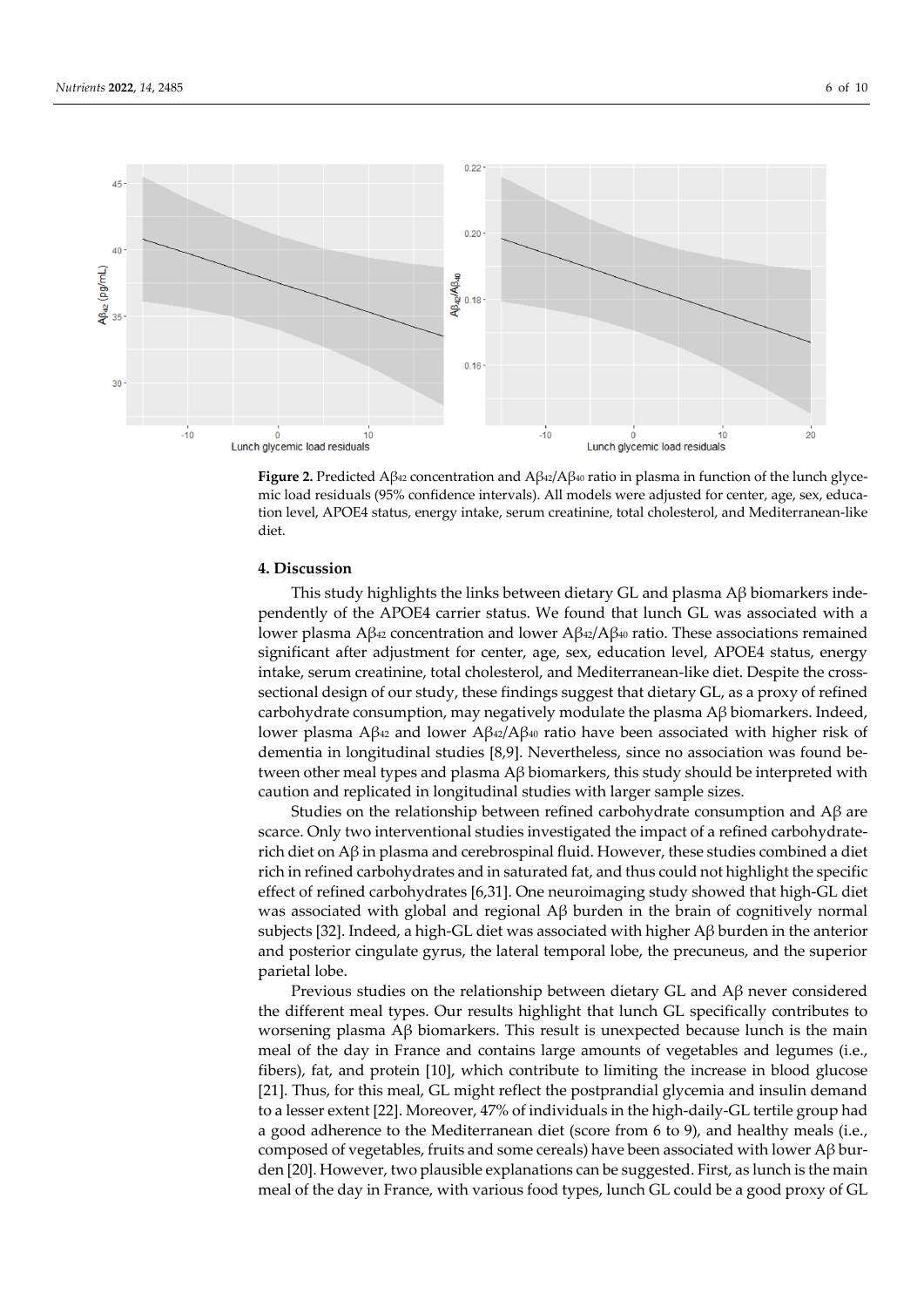

**Figure 2.** Predicted Aβ<sub>42</sub> concentration and  $A\beta_{42}/A\beta_{40}$  ratio in plasma in function of the lunch glycemic load residuals (95% confidence intervals). All models were adjusted for center, age, sex, education level, APOE4 status, energy intake, serum creatinine, total cholesterol, and Mediterranean-like diet.

# **4. Discussion**

This study highlights the links between dietary GL and plasma Aβ biomarkers independently of the APOE4 carrier status. We found that lunch GL was associated with a lower plasma Aβ<sub>42</sub> concentration and lower Aβ<sub>42</sub>/Aβ<sub>40</sub> ratio. These associations remained significant after adjustment for center, age, sex, education level, APOE4 status, energy intake, serum creatinine, total cholesterol, and Mediterranean-like diet. Despite the crosssectional design of our study, these findings suggest that dietary GL, as a proxy of refined carbohydrate consumption, may negatively modulate the plasma  $A\beta$  biomarkers. Indeed, lower plasma Aβ<sup>42</sup> and lower Aβ<sup>42</sup>/Aβ<sup>40</sup> ratio have been associated with higher risk of dementia in longitudinal studies [8,9]. Nevertheless, since no association was found between other meal types and plasma Aβ biomarkers, this study should be interpreted with caution and replicated in longitudinal studies with larger sample sizes.

Studies on the relationship between refined carbohydrate consumption and Aβ are scarce. Only two interventional studies investigated the impact of a refined carbohydraterich diet on  $A\beta$  in plasma and cerebrospinal fluid. However, these studies combined a diet rich in refined carbohydrates and in saturated fat, and thus could not highlight the specific effect of refined carbohydrates [6,31]. One neuroimaging study showed that high-GL diet was associated with global and regional Aβ burden in the brain of cognitively normal subjects [32]. Indeed, a high-GL diet was associated with higher Aβ burden in the anterior and posterior cingulate gyrus, the lateral temporal lobe, the precuneus, and the superior parietal lobe.

Previous studies on the relationship between dietary GL and Aβ never considered the different meal types. Our results highlight that lunch GL specifically contributes to worsening plasma Aβ biomarkers. This result is unexpected because lunch is the main meal of the day in France and contains large amounts of vegetables and legumes (i.e., fibers), fat, and protein [10], which contribute to limiting the increase in blood glucose [21]. Thus, for this meal, GL might reflect the postprandial glycemia and insulin demand to a lesser extent [22]. Moreover, 47% of individuals in the high-daily-GL tertile group had a good adherence to the Mediterranean diet (score from 6 to 9), and healthy meals (i.e., composed of vegetables, fruits and some cereals) have been associated with lower Aβ burden [20]. However, two plausible explanations can be suggested. First, as lunch is the main meal of the day in France, with various food types, lunch GL could be a good proxy of GL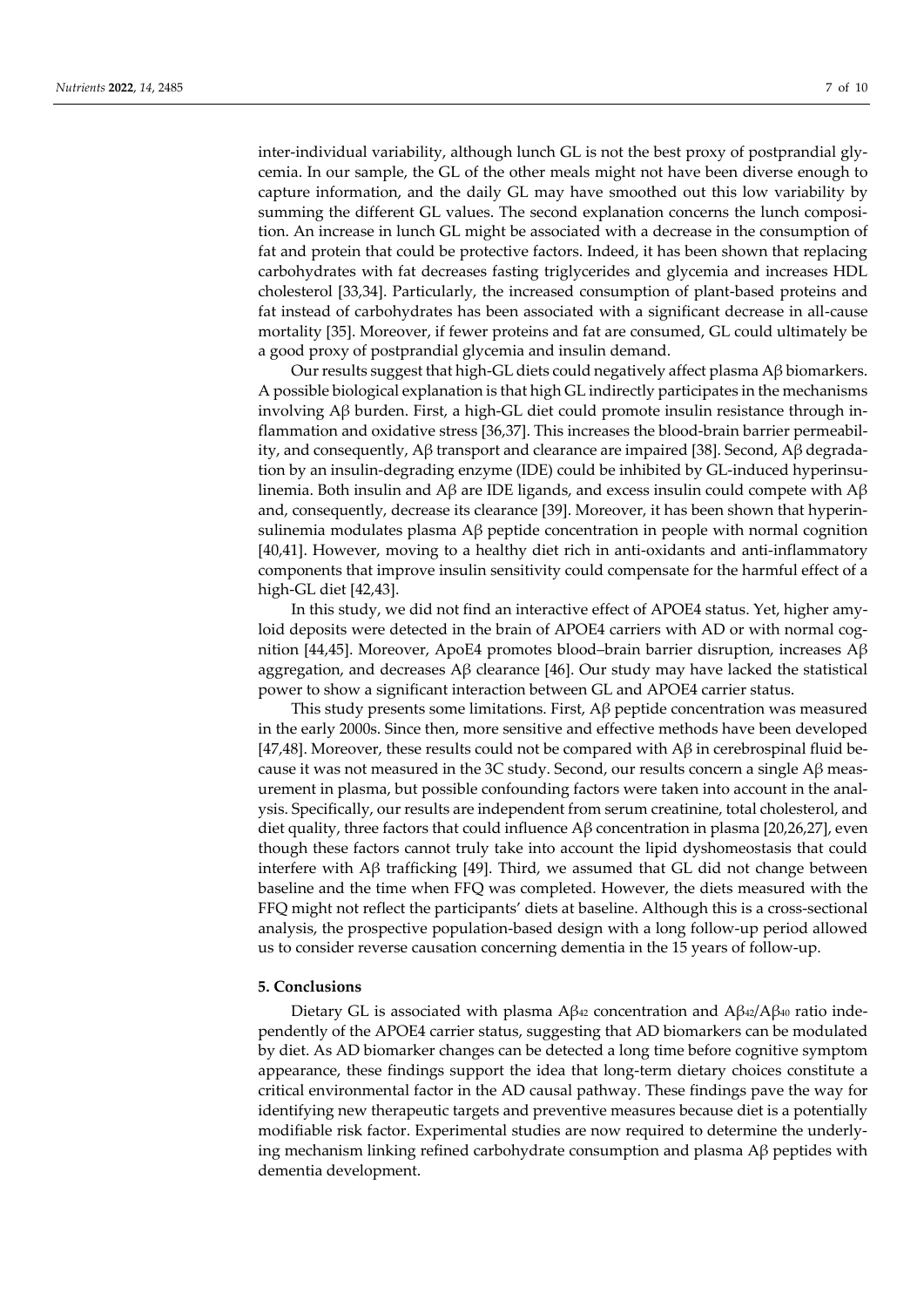inter-individual variability, although lunch GL is not the best proxy of postprandial glycemia. In our sample, the GL of the other meals might not have been diverse enough to capture information, and the daily GL may have smoothed out this low variability by summing the different GL values. The second explanation concerns the lunch composition. An increase in lunch GL might be associated with a decrease in the consumption of fat and protein that could be protective factors. Indeed, it has been shown that replacing carbohydrates with fat decreases fasting triglycerides and glycemia and increases HDL cholesterol [33,34]. Particularly, the increased consumption of plant-based proteins and fat instead of carbohydrates has been associated with a significant decrease in all-cause mortality [35]. Moreover, if fewer proteins and fat are consumed, GL could ultimately be a good proxy of postprandial glycemia and insulin demand.

Our results suggest that high-GL diets could negatively affect plasma  $A\beta$  biomarkers. A possible biological explanation is that high GL indirectly participates in the mechanisms involving Aβ burden. First, a high-GL diet could promote insulin resistance through inflammation and oxidative stress [36,37]. This increases the blood-brain barrier permeability, and consequently, Aβ transport and clearance are impaired [38]. Second, Aβ degradation by an insulin-degrading enzyme (IDE) could be inhibited by GL-induced hyperinsulinemia. Both insulin and Aβ are IDE ligands, and excess insulin could compete with Aβ and, consequently, decrease its clearance [39]. Moreover, it has been shown that hyperinsulinemia modulates plasma  $\beta$  peptide concentration in people with normal cognition [40,41]. However, moving to a healthy diet rich in anti-oxidants and anti-inflammatory components that improve insulin sensitivity could compensate for the harmful effect of a high-GL diet [42,43].

In this study, we did not find an interactive effect of APOE4 status. Yet, higher amyloid deposits were detected in the brain of APOE4 carriers with AD or with normal cognition [44,45]. Moreover, ApoE4 promotes blood–brain barrier disruption, increases  $A\beta$ aggregation, and decreases  $\beta$  clearance [46]. Our study may have lacked the statistical power to show a significant interaction between GL and APOE4 carrier status.

This study presents some limitations. First,  $\Delta\beta$  peptide concentration was measured in the early 2000s. Since then, more sensitive and effective methods have been developed [47,48]. Moreover, these results could not be compared with  $\mathbf{A}\beta$  in cerebrospinal fluid because it was not measured in the 3C study. Second, our results concern a single  $\text{A}\beta$  measurement in plasma, but possible confounding factors were taken into account in the analysis. Specifically, our results are independent from serum creatinine, total cholesterol, and diet quality, three factors that could influence  $\mathbf{A}\beta$  concentration in plasma [20,26,27], even though these factors cannot truly take into account the lipid dyshomeostasis that could interfere with Aβ trafficking [49]. Third, we assumed that GL did not change between baseline and the time when FFQ was completed. However, the diets measured with the FFQ might not reflect the participants' diets at baseline. Although this is a cross-sectional analysis, the prospective population-based design with a long follow-up period allowed us to consider reverse causation concerning dementia in the 15 years of follow-up.

#### **5. Conclusions**

Dietary GL is associated with plasma  $A\beta_{42}$  concentration and  $A\beta_{42}/A\beta_{40}$  ratio independently of the APOE4 carrier status, suggesting that AD biomarkers can be modulated by diet. As AD biomarker changes can be detected a long time before cognitive symptom appearance, these findings support the idea that long-term dietary choices constitute a critical environmental factor in the AD causal pathway. These findings pave the way for identifying new therapeutic targets and preventive measures because diet is a potentially modifiable risk factor. Experimental studies are now required to determine the underlying mechanism linking refined carbohydrate consumption and plasma Aβ peptides with dementia development.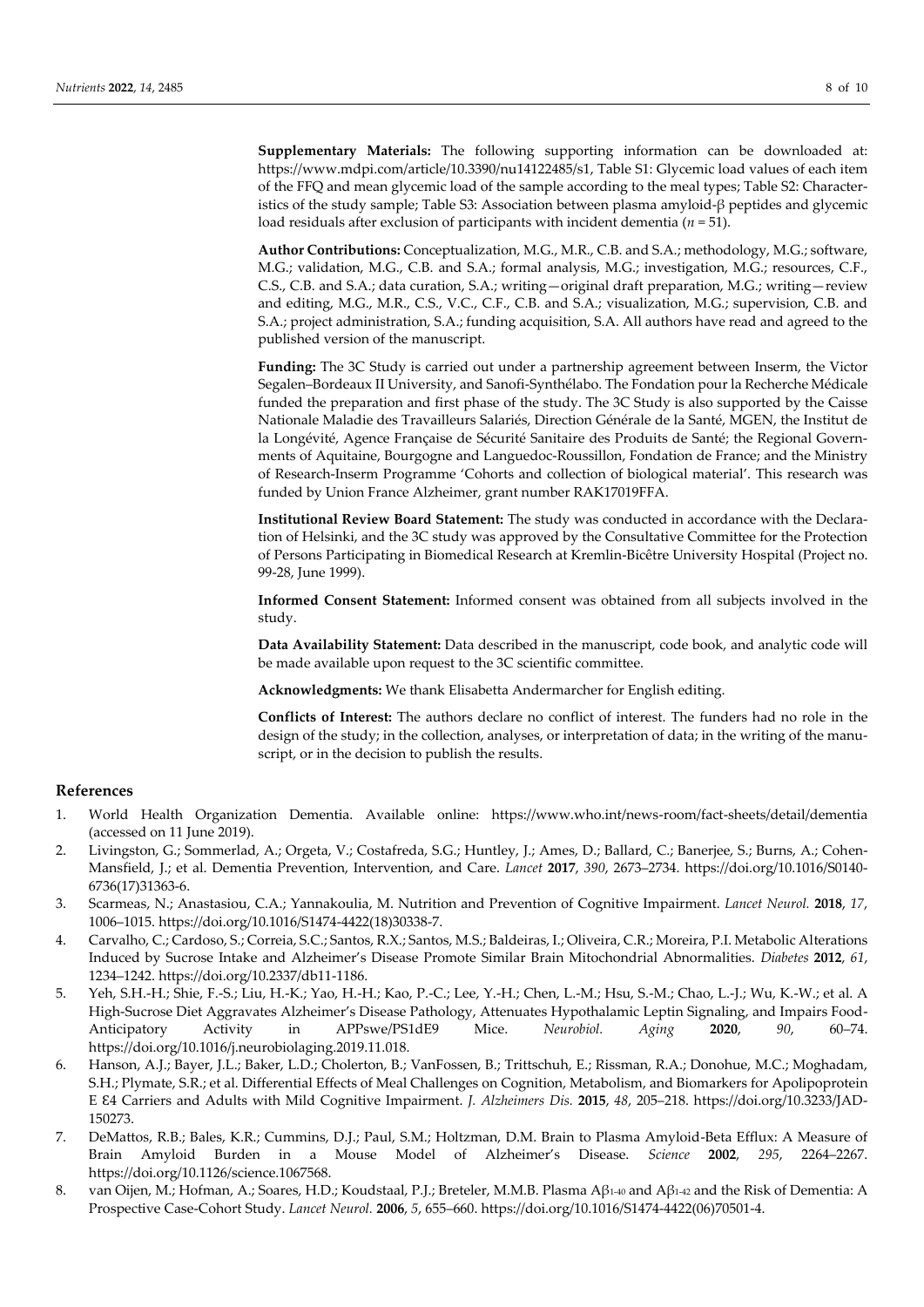**Supplementary Materials:** The following supporting information can be downloaded at: https://www.mdpi.com/article/10.3390/nu14122485/s1, Table S1: Glycemic load values of each item of the FFQ and mean glycemic load of the sample according to the meal types; Table S2: Characteristics of the study sample; Table S3: Association between plasma amyloid-β peptides and glycemic load residuals after exclusion of participants with incident dementia (*n* = 51).

**Author Contributions:** Conceptualization, M.G., M.R., C.B. and S.A.; methodology, M.G.; software, M.G.; validation, M.G., C.B. and S.A.; formal analysis, M.G.; investigation, M.G.; resources, C.F., C.S., C.B. and S.A.; data curation, S.A.; writing—original draft preparation, M.G.; writing—review and editing, M.G., M.R., C.S., V.C., C.F., C.B. and S.A.; visualization, M.G.; supervision, C.B. and S.A.; project administration, S.A.; funding acquisition, S.A. All authors have read and agreed to the published version of the manuscript.

**Funding:** The 3C Study is carried out under a partnership agreement between Inserm, the Victor Segalen–Bordeaux II University, and Sanofi-Synthélabo. The Fondation pour la Recherche Médicale funded the preparation and first phase of the study. The 3C Study is also supported by the Caisse Nationale Maladie des Travailleurs Salariés, Direction Générale de la Santé, MGEN, the Institut de la Longévité, Agence Française de Sécurité Sanitaire des Produits de Santé; the Regional Governments of Aquitaine, Bourgogne and Languedoc-Roussillon, Fondation de France; and the Ministry of Research-Inserm Programme 'Cohorts and collection of biological material'. This research was funded by Union France Alzheimer, grant number RAK17019FFA.

**Institutional Review Board Statement:** The study was conducted in accordance with the Declaration of Helsinki, and the 3C study was approved by the Consultative Committee for the Protection of Persons Participating in Biomedical Research at Kremlin-Bicêtre University Hospital (Project no. 99-28, June 1999).

**Informed Consent Statement:** Informed consent was obtained from all subjects involved in the study.

**Data Availability Statement:** Data described in the manuscript, code book, and analytic code will be made available upon request to the 3C scientific committee.

**Acknowledgments:** We thank Elisabetta Andermarcher for English editing.

**Conflicts of Interest:** The authors declare no conflict of interest. The funders had no role in the design of the study; in the collection, analyses, or interpretation of data; in the writing of the manuscript, or in the decision to publish the results.

# **References**

- 1. World Health Organization Dementia. Available online: https://www.who.int/news-room/fact-sheets/detail/dementia (accessed on 11 June 2019).
- 2. Livingston, G.; Sommerlad, A.; Orgeta, V.; Costafreda, S.G.; Huntley, J.; Ames, D.; Ballard, C.; Banerjee, S.; Burns, A.; Cohen-Mansfield, J.; et al. Dementia Prevention, Intervention, and Care. *Lancet* **2017**, *390*, 2673–2734. https://doi.org/10.1016/S0140- 6736(17)31363-6.
- 3. Scarmeas, N.; Anastasiou, C.A.; Yannakoulia, M. Nutrition and Prevention of Cognitive Impairment. *Lancet Neurol.* **2018**, *17*, 1006–1015. https://doi.org/10.1016/S1474-4422(18)30338-7.
- 4. Carvalho, C.; Cardoso, S.; Correia, S.C.; Santos, R.X.; Santos, M.S.; Baldeiras, I.; Oliveira, C.R.; Moreira, P.I. Metabolic Alterations Induced by Sucrose Intake and Alzheimer's Disease Promote Similar Brain Mitochondrial Abnormalities. *Diabetes* **2012**, *61*, 1234–1242. https://doi.org/10.2337/db11-1186.
- 5. Yeh, S.H.-H.; Shie, F.-S.; Liu, H.-K.; Yao, H.-H.; Kao, P.-C.; Lee, Y.-H.; Chen, L.-M.; Hsu, S.-M.; Chao, L.-J.; Wu, K.-W.; et al. A High-Sucrose Diet Aggravates Alzheimer's Disease Pathology, Attenuates Hypothalamic Leptin Signaling, and Impairs Food-Anticipatory Activity in APPswe/PS1dE9 Mice. *Neurobiol. Aging* **2020**, *90*, 60–74. https://doi.org/10.1016/j.neurobiolaging.2019.11.018.
- 6. Hanson, A.J.; Bayer, J.L.; Baker, L.D.; Cholerton, B.; VanFossen, B.; Trittschuh, E.; Rissman, R.A.; Donohue, M.C.; Moghadam, S.H.; Plymate, S.R.; et al. Differential Effects of Meal Challenges on Cognition, Metabolism, and Biomarkers for Apolipoprotein E Ɛ4 Carriers and Adults with Mild Cognitive Impairment. *J. Alzheimers Dis.* **2015**, *48*, 205–218. https://doi.org/10.3233/JAD-150273.
- 7. DeMattos, R.B.; Bales, K.R.; Cummins, D.J.; Paul, S.M.; Holtzman, D.M. Brain to Plasma Amyloid-Beta Efflux: A Measure of Brain Amyloid Burden in a Mouse Model of Alzheimer's Disease. *Science* **2002**, *295*, 2264–2267. https://doi.org/10.1126/science.1067568.
- 8. van Oijen, M.; Hofman, A.; Soares, H.D.; Koudstaal, P.J.; Breteler, M.M.B. Plasma Aβ1-40 and Aβ1-42 and the Risk of Dementia: A Prospective Case-Cohort Study. *Lancet Neurol.* **2006**, *5*, 655–660. https://doi.org/10.1016/S1474-4422(06)70501-4.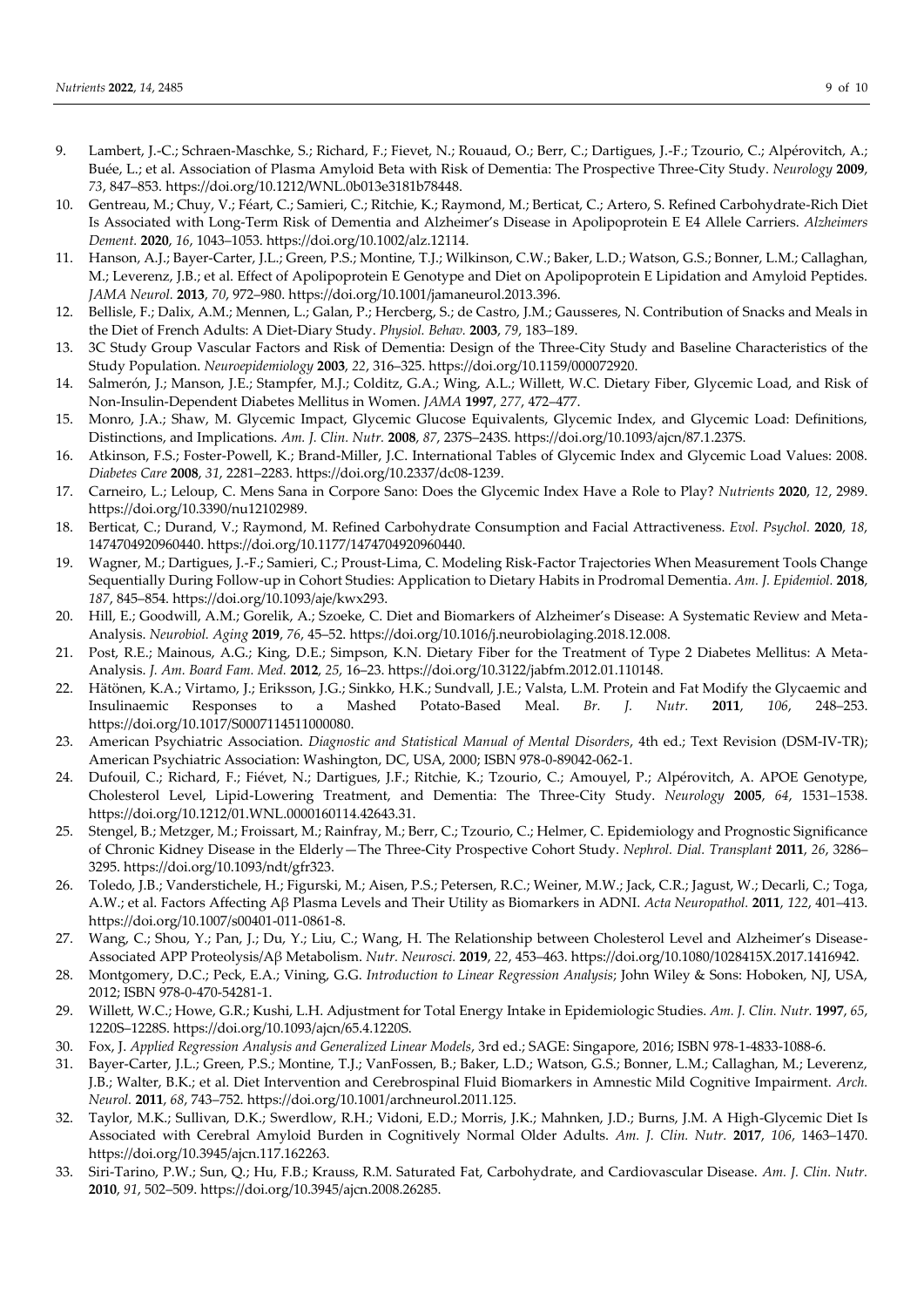- 9. Lambert, J.-C.; Schraen-Maschke, S.; Richard, F.; Fievet, N.; Rouaud, O.; Berr, C.; Dartigues, J.-F.; Tzourio, C.; Alpérovitch, A.; Buée, L.; et al. Association of Plasma Amyloid Beta with Risk of Dementia: The Prospective Three-City Study. *Neurology* **2009**, *73*, 847–853. https://doi.org/10.1212/WNL.0b013e3181b78448.
- 10. Gentreau, M.; Chuy, V.; Féart, C.; Samieri, C.; Ritchie, K.; Raymond, M.; Berticat, C.; Artero, S. Refined Carbohydrate-Rich Diet Is Associated with Long-Term Risk of Dementia and Alzheimer's Disease in Apolipoprotein E Ε4 Allele Carriers. *Alzheimers Dement.* **2020**, *16*, 1043–1053. https://doi.org/10.1002/alz.12114.
- 11. Hanson, A.J.; Bayer-Carter, J.L.; Green, P.S.; Montine, T.J.; Wilkinson, C.W.; Baker, L.D.; Watson, G.S.; Bonner, L.M.; Callaghan, M.; Leverenz, J.B.; et al. Effect of Apolipoprotein E Genotype and Diet on Apolipoprotein E Lipidation and Amyloid Peptides. *JAMA Neurol.* **2013**, *70*, 972–980. https://doi.org/10.1001/jamaneurol.2013.396.
- 12. Bellisle, F.; Dalix, A.M.; Mennen, L.; Galan, P.; Hercberg, S.; de Castro, J.M.; Gausseres, N. Contribution of Snacks and Meals in the Diet of French Adults: A Diet-Diary Study. *Physiol. Behav.* **2003**, *79*, 183–189.
- 13. 3C Study Group Vascular Factors and Risk of Dementia: Design of the Three-City Study and Baseline Characteristics of the Study Population. *Neuroepidemiology* **2003**, *22*, 316–325. https://doi.org/10.1159/000072920.
- 14. Salmerón, J.; Manson, J.E.; Stampfer, M.J.; Colditz, G.A.; Wing, A.L.; Willett, W.C. Dietary Fiber, Glycemic Load, and Risk of Non-Insulin-Dependent Diabetes Mellitus in Women. *JAMA* **1997**, *277*, 472–477.
- 15. Monro, J.A.; Shaw, M. Glycemic Impact, Glycemic Glucose Equivalents, Glycemic Index, and Glycemic Load: Definitions, Distinctions, and Implications. *Am. J. Clin. Nutr.* **2008**, *87*, 237S–243S. https://doi.org/10.1093/ajcn/87.1.237S.
- 16. Atkinson, F.S.; Foster-Powell, K.; Brand-Miller, J.C. International Tables of Glycemic Index and Glycemic Load Values: 2008. *Diabetes Care* **2008**, *31*, 2281–2283. https://doi.org/10.2337/dc08-1239.
- 17. Carneiro, L.; Leloup, C. Mens Sana in Corpore Sano: Does the Glycemic Index Have a Role to Play? *Nutrients* **2020**, *12*, 2989. https://doi.org/10.3390/nu12102989.
- 18. Berticat, C.; Durand, V.; Raymond, M. Refined Carbohydrate Consumption and Facial Attractiveness. *Evol. Psychol.* **2020**, *18*, 1474704920960440. https://doi.org/10.1177/1474704920960440.
- 19. Wagner, M.; Dartigues, J.-F.; Samieri, C.; Proust-Lima, C. Modeling Risk-Factor Trajectories When Measurement Tools Change Sequentially During Follow-up in Cohort Studies: Application to Dietary Habits in Prodromal Dementia. *Am. J. Epidemiol.* **2018**, *187*, 845–854. https://doi.org/10.1093/aje/kwx293.
- 20. Hill, E.; Goodwill, A.M.; Gorelik, A.; Szoeke, C. Diet and Biomarkers of Alzheimer's Disease: A Systematic Review and Meta-Analysis. *Neurobiol. Aging* **2019**, *76*, 45–52. https://doi.org/10.1016/j.neurobiolaging.2018.12.008.
- 21. Post, R.E.; Mainous, A.G.; King, D.E.; Simpson, K.N. Dietary Fiber for the Treatment of Type 2 Diabetes Mellitus: A Meta-Analysis. *J. Am. Board Fam. Med.* **2012**, *25*, 16–23. https://doi.org/10.3122/jabfm.2012.01.110148.
- 22. Hätönen, K.A.; Virtamo, J.; Eriksson, J.G.; Sinkko, H.K.; Sundvall, J.E.; Valsta, L.M. Protein and Fat Modify the Glycaemic and Insulinaemic Responses to a Mashed Potato-Based Meal. *Br. J. Nutr.* **2011**, *106*, 248–253. https://doi.org/10.1017/S0007114511000080.
- 23. American Psychiatric Association. *Diagnostic and Statistical Manual of Mental Disorders*, 4th ed.; Text Revision (DSM-IV-TR); American Psychiatric Association: Washington, DC, USA, 2000; ISBN 978-0-89042-062-1.
- 24. Dufouil, C.; Richard, F.; Fiévet, N.; Dartigues, J.F.; Ritchie, K.; Tzourio, C.; Amouyel, P.; Alpérovitch, A. APOE Genotype, Cholesterol Level, Lipid-Lowering Treatment, and Dementia: The Three-City Study. *Neurology* **2005**, *64*, 1531–1538. https://doi.org/10.1212/01.WNL.0000160114.42643.31.
- 25. Stengel, B.; Metzger, M.; Froissart, M.; Rainfray, M.; Berr, C.; Tzourio, C.; Helmer, C. Epidemiology and Prognostic Significance of Chronic Kidney Disease in the Elderly—The Three-City Prospective Cohort Study. *Nephrol. Dial. Transplant* **2011**, *26*, 3286– 3295. https://doi.org/10.1093/ndt/gfr323.
- 26. Toledo, J.B.; Vanderstichele, H.; Figurski, M.; Aisen, P.S.; Petersen, R.C.; Weiner, M.W.; Jack, C.R.; Jagust, W.; Decarli, C.; Toga, A.W.; et al. Factors Affecting Aβ Plasma Levels and Their Utility as Biomarkers in ADNI. *Acta Neuropathol.* **2011**, *122*, 401–413. https://doi.org/10.1007/s00401-011-0861-8.
- 27. Wang, C.; Shou, Y.; Pan, J.; Du, Y.; Liu, C.; Wang, H. The Relationship between Cholesterol Level and Alzheimer's Disease-Associated APP Proteolysis/Aβ Metabolism. *Nutr. Neurosci.* **2019**, *22*, 453–463. https://doi.org/10.1080/1028415X.2017.1416942.
- 28. Montgomery, D.C.; Peck, E.A.; Vining, G.G. *Introduction to Linear Regression Analysis*; John Wiley & Sons: Hoboken, NJ, USA, 2012; ISBN 978-0-470-54281-1.
- 29. Willett, W.C.; Howe, G.R.; Kushi, L.H. Adjustment for Total Energy Intake in Epidemiologic Studies. *Am. J. Clin. Nutr.* **1997**, *65*, 1220S–1228S. https://doi.org/10.1093/ajcn/65.4.1220S.
- 30. Fox, J. *Applied Regression Analysis and Generalized Linear Models*, 3rd ed.; SAGE: Singapore, 2016; ISBN 978-1-4833-1088-6.
- 31. Bayer-Carter, J.L.; Green, P.S.; Montine, T.J.; VanFossen, B.; Baker, L.D.; Watson, G.S.; Bonner, L.M.; Callaghan, M.; Leverenz, J.B.; Walter, B.K.; et al. Diet Intervention and Cerebrospinal Fluid Biomarkers in Amnestic Mild Cognitive Impairment. *Arch. Neurol.* **2011**, *68*, 743–752. https://doi.org/10.1001/archneurol.2011.125.
- 32. Taylor, M.K.; Sullivan, D.K.; Swerdlow, R.H.; Vidoni, E.D.; Morris, J.K.; Mahnken, J.D.; Burns, J.M. A High-Glycemic Diet Is Associated with Cerebral Amyloid Burden in Cognitively Normal Older Adults. *Am. J. Clin. Nutr.* **2017**, *106*, 1463–1470. https://doi.org/10.3945/ajcn.117.162263.
- 33. Siri-Tarino, P.W.; Sun, Q.; Hu, F.B.; Krauss, R.M. Saturated Fat, Carbohydrate, and Cardiovascular Disease. *Am. J. Clin. Nutr.* **2010**, *91*, 502–509. https://doi.org/10.3945/ajcn.2008.26285.